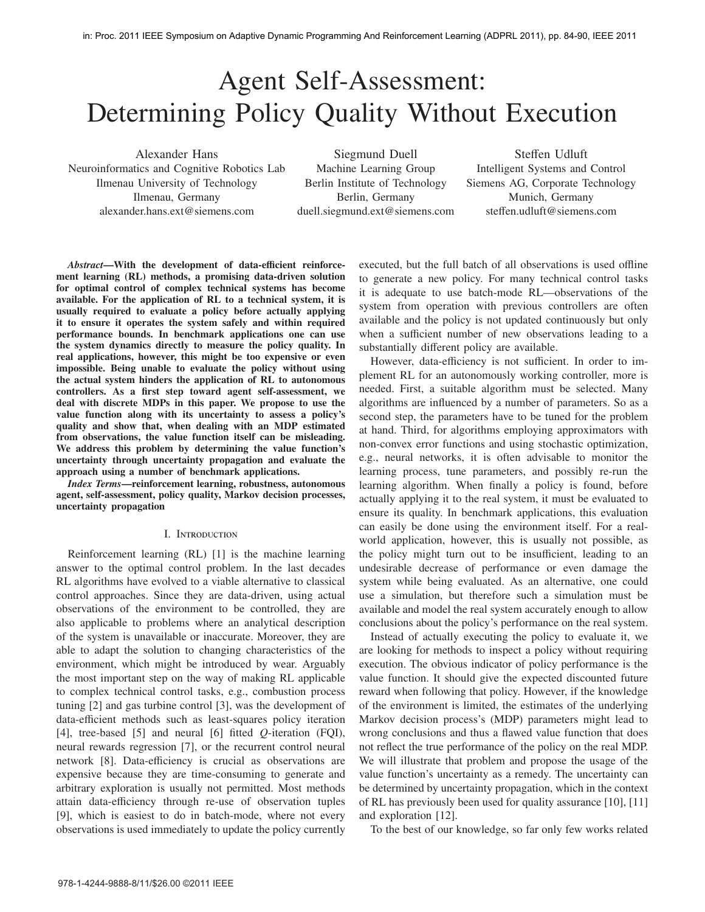# Agent Self-Assessment: Determining Policy Quality Without Execution

Alexander Hans

Neuroinformatics and Cognitive Robotics Lab Ilmenau University of Technology Ilmenau, Germany alexander.hans.ext@siemens.com

Siegmund Duell Machine Learning Group Berlin Institute of Technology Berlin, Germany duell.siegmund.ext@siemens.com

Steffen Udluft Intelligent Systems and Control Siemens AG, Corporate Technology Munich, Germany steffen.udluft@siemens.com

*Abstract*—With the development of data-efficient reinforcement learning (RL) methods, a promising data-driven solution for optimal control of complex technical systems has become available. For the application of RL to a technical system, it is usually required to evaluate a policy before actually applying it to ensure it operates the system safely and within required performance bounds. In benchmark applications one can use the system dynamics directly to measure the policy quality. In real applications, however, this might be too expensive or even impossible. Being unable to evaluate the policy without using the actual system hinders the application of RL to autonomous controllers. As a first step toward agent self-assessment, we deal with discrete MDPs in this paper. We propose to use the value function along with its uncertainty to assess a policy's quality and show that, when dealing with an MDP estimated from observations, the value function itself can be misleading. We address this problem by determining the value function's uncertainty through uncertainty propagation and evaluate the approach using a number of benchmark applications.

*Index Terms*—reinforcement learning, robustness, autonomous agent, self-assessment, policy quality, Markov decision processes, uncertainty propagation

#### I. Introduction

Reinforcement learning (RL) [1] is the machine learning answer to the optimal control problem. In the last decades RL algorithms have evolved to a viable alternative to classical control approaches. Since they are data-driven, using actual observations of the environment to be controlled, they are also applicable to problems where an analytical description of the system is unavailable or inaccurate. Moreover, they are able to adapt the solution to changing characteristics of the environment, which might be introduced by wear. Arguably the most important step on the way of making RL applicable to complex technical control tasks, e.g., combustion process tuning [2] and gas turbine control [3], was the development of data-efficient methods such as least-squares policy iteration [4], tree-based [5] and neural [6] fitted *Q*-iteration (FQI), neural rewards regression [7], or the recurrent control neural network [8]. Data-efficiency is crucial as observations are expensive because they are time-consuming to generate and arbitrary exploration is usually not permitted. Most methods attain data-efficiency through re-use of observation tuples [9], which is easiest to do in batch-mode, where not every observations is used immediately to update the policy currently

executed, but the full batch of all observations is used offline to generate a new policy. For many technical control tasks it is adequate to use batch-mode RL—observations of the system from operation with previous controllers are often available and the policy is not updated continuously but only when a sufficient number of new observations leading to a substantially different policy are available.

However, data-efficiency is not sufficient. In order to implement RL for an autonomously working controller, more is needed. First, a suitable algorithm must be selected. Many algorithms are influenced by a number of parameters. So as a second step, the parameters have to be tuned for the problem at hand. Third, for algorithms employing approximators with non-convex error functions and using stochastic optimization, e.g., neural networks, it is often advisable to monitor the learning process, tune parameters, and possibly re-run the learning algorithm. When finally a policy is found, before actually applying it to the real system, it must be evaluated to ensure its quality. In benchmark applications, this evaluation can easily be done using the environment itself. For a realworld application, however, this is usually not possible, as the policy might turn out to be insufficient, leading to an undesirable decrease of performance or even damage the system while being evaluated. As an alternative, one could use a simulation, but therefore such a simulation must be available and model the real system accurately enough to allow conclusions about the policy's performance on the real system.

Instead of actually executing the policy to evaluate it, we are looking for methods to inspect a policy without requiring execution. The obvious indicator of policy performance is the value function. It should give the expected discounted future reward when following that policy. However, if the knowledge of the environment is limited, the estimates of the underlying Markov decision process's (MDP) parameters might lead to wrong conclusions and thus a flawed value function that does not reflect the true performance of the policy on the real MDP. We will illustrate that problem and propose the usage of the value function's uncertainty as a remedy. The uncertainty can be determined by uncertainty propagation, which in the context of RL has previously been used for quality assurance [10], [11] and exploration [12].

To the best of our knowledge, so far only few works related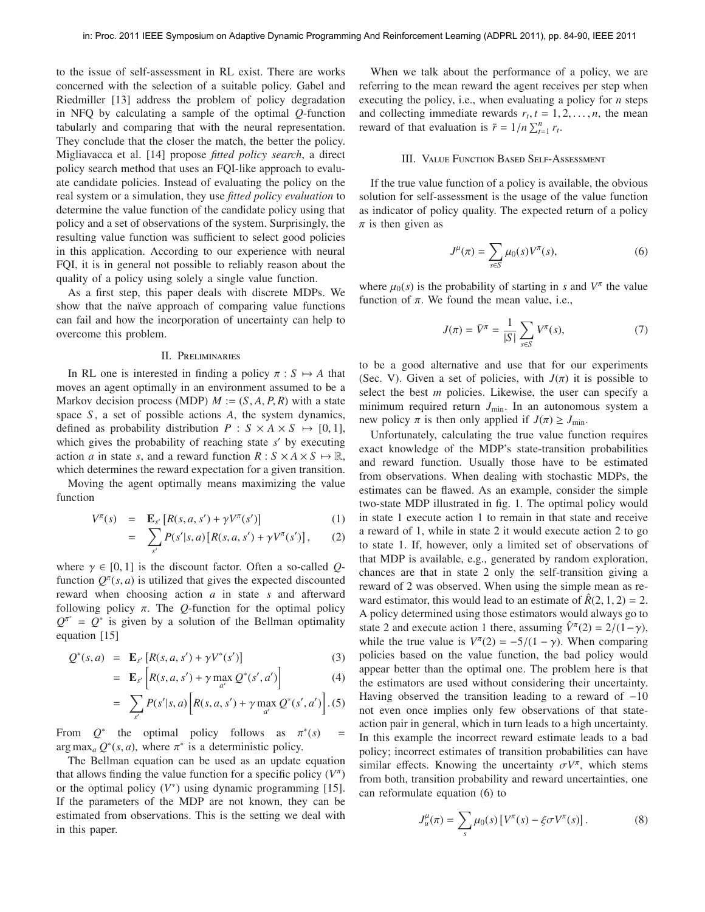to the issue of self-assessment in RL exist. There are works concerned with the selection of a suitable policy. Gabel and Riedmiller [13] address the problem of policy degradation in NFQ by calculating a sample of the optimal *Q*-function tabularly and comparing that with the neural representation. They conclude that the closer the match, the better the policy. Migliavacca et al. [14] propose *fitted policy search*, a direct policy search method that uses an FQI-like approach to evaluate candidate policies. Instead of evaluating the policy on the real system or a simulation, they use *fitted policy evaluation* to determine the value function of the candidate policy using that policy and a set of observations of the system. Surprisingly, the resulting value function was sufficient to select good policies in this application. According to our experience with neural FQI, it is in general not possible to reliably reason about the quality of a policy using solely a single value function.

As a first step, this paper deals with discrete MDPs. We show that the naïve approach of comparing value functions can fail and how the incorporation of uncertainty can help to overcome this problem.

# II. Preliminaries

In RL one is interested in finding a policy  $\pi : S \mapsto A$  that we an agent optimally in an environment assumed to be a moves an agent optimally in an environment assumed to be a Markov decision process (MDP)  $M := (S, A, P, R)$  with a state space *S* , a set of possible actions *A*, the system dynamics, defined as probability distribution  $P : S \times A \times S \rightarrow [0, 1]$ ,<br>which gives the probability of reaching state s' by executing which gives the probability of reaching state  $s'$  by executing action *a* in state *s*, and a reward function  $R : S \times A \times S \mapsto \mathbb{R}$ , which determines the reward expectation for a given transition.

Moving the agent optimally means maximizing the value function

$$
V^{\pi}(s) = \mathbf{E}_{s'} [R(s, a, s') + \gamma V^{\pi}(s')]
$$
(1)

$$
= \sum_{s'} P(s'|s, a) [R(s, a, s') + \gamma V^{\pi}(s')], \qquad (2)
$$

where  $\gamma \in [0, 1]$  is the discount factor. Often a so-called *Q*function  $Q^{\pi}(s, a)$  is utilized that gives the expected discounted reward when choosing action *a* in state *s* and afterward following policy  $\pi$ . The *Q*-function for the optimal policy  $Q^{\pi^*} = Q^*$  is given by a solution of the Bellman optimality equation [15]

$$
Q^*(s, a) = \mathbf{E}_{s'} [R(s, a, s') + \gamma V^*(s')]
$$
 (3)

$$
= \mathbf{E}_{s'} \left[ R(s, a, s') + \gamma \max_{a'} Q^*(s', a') \right] \tag{4}
$$

$$
= \sum_{s'} P(s'|s, a) \left[ R(s, a, s') + \gamma \max_{a'} Q^*(s', a') \right]. (5)
$$

From  $Q^*$  the optimal policy follows as  $\pi^*(s)$ arg max<sub>*a*</sub>  $Q^*(s, a)$ , where  $\pi^*$  is a deterministic policy.

The Bellman equation can be used as an update equation that allows finding the value function for a specific policy  $(V^{\pi})$ or the optimal policy  $(V^*)$  using dynamic programming [15]. If the parameters of the MDP are not known, they can be estimated from observations. This is the setting we deal with in this paper.

When we talk about the performance of a policy, we are referring to the mean reward the agent receives per step when executing the policy, i.e., when evaluating a policy for *n* steps and collecting immediate rewards  $r_t$ ,  $t = 1, 2, ..., n$ , the mean reward of that evaluation is  $\bar{r} = 1/n \sum_{t=1}^{n} r_t$ .

# III. Value Function Based Self-Assessment

If the true value function of a policy is available, the obvious solution for self-assessment is the usage of the value function as indicator of policy quality. The expected return of a policy  $\pi$  is then given as

$$
J^{\mu}(\pi) = \sum_{s \in S} \mu_0(s) V^{\pi}(s), \qquad (6)
$$

where  $\mu_0(s)$  is the probability of starting in *s* and  $V^{\pi}$  the value function of π. We found the mean value, i.e.,

$$
J(\pi) = \bar{V}^{\pi} = \frac{1}{|S|} \sum_{s \in S} V^{\pi}(s),
$$
 (7)

to be a good alternative and use that for our experiments (Sec. V). Given a set of policies, with  $J(\pi)$  it is possible to select the best *m* policies. Likewise, the user can specify a minimum required return  $J_{\text{min}}$ . In an autonomous system a new policy  $\pi$  is then only applied if  $J(\pi) \geq J_{\min}$ .

Unfortunately, calculating the true value function requires exact knowledge of the MDP's state-transition probabilities and reward function. Usually those have to be estimated from observations. When dealing with stochastic MDPs, the estimates can be flawed. As an example, consider the simple two-state MDP illustrated in fig. 1. The optimal policy would in state 1 execute action 1 to remain in that state and receive a reward of 1, while in state 2 it would execute action 2 to go to state 1. If, however, only a limited set of observations of that MDP is available, e.g., generated by random exploration, chances are that in state 2 only the self-transition giving a reward of 2 was observed. When using the simple mean as reward estimator, this would lead to an estimate of  $\hat{R}(2, 1, 2) = 2$ . A policy determined using those estimators would always go to state 2 and execute action 1 there, assuming  $\hat{V}^{\pi}(2) = 2/(1-\gamma)$ , while the true value is  $V^{\pi}(2) = -5/(1 - \gamma)$ . When comparing policies based on the value function, the bad policy would appear better than the optimal one. The problem here is that the estimators are used without considering their uncertainty. Having observed the transition leading to a reward of  $-10$ not even once implies only few observations of that stateaction pair in general, which in turn leads to a high uncertainty. In this example the incorrect reward estimate leads to a bad policy; incorrect estimates of transition probabilities can have similar effects. Knowing the uncertainty  $\sigma V^{\pi}$ , which stems from both, transition probability and reward uncertainties, one can reformulate equation (6) to

$$
J_u^{\mu}(\pi) = \sum_s \mu_0(s) \left[ V^{\pi}(s) - \xi \sigma V^{\pi}(s) \right]. \tag{8}
$$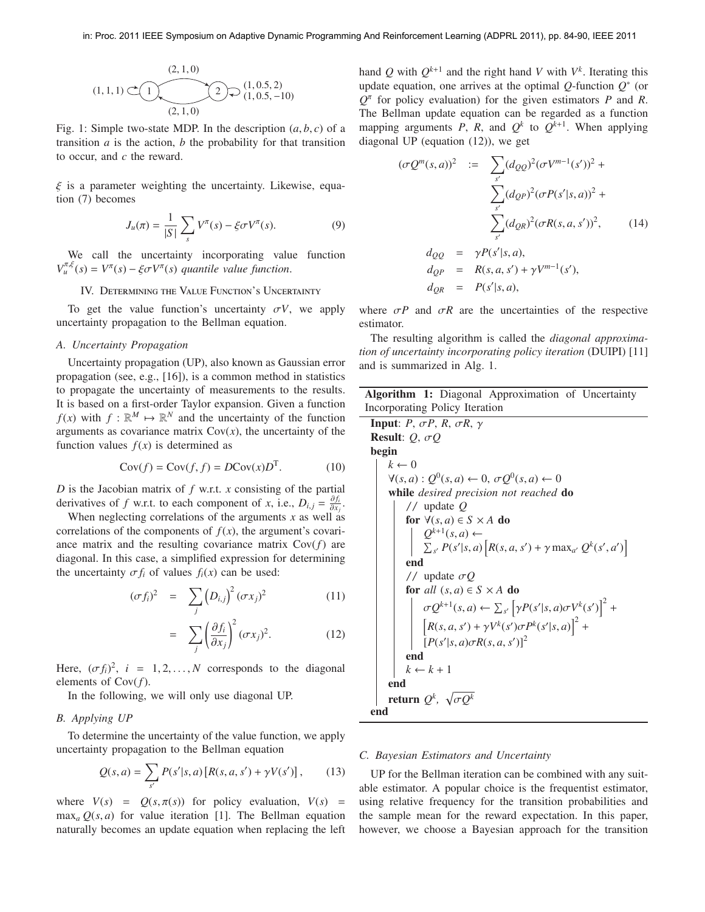

Fig. 1: Simple two-state MDP. In the description  $(a, b, c)$  of a transition *a* is the action, *b* the probability for that transition to occur, and *c* the reward.

 $\xi$  is a parameter weighting the uncertainty. Likewise, equation (7) becomes

$$
J_u(\pi) = \frac{1}{|S|} \sum_s V^{\pi}(s) - \xi \sigma V^{\pi}(s). \tag{9}
$$

We call the uncertainty incorporating value function  $V_u^{\pi,\xi}(s) = V^{\pi}(s) - \xi \sigma V^{\pi}(s)$  *quantile value function.* 

## IV. Determining the Value Function's Uncertainty

To get the value function's uncertainty  $\sigma V$ , we apply uncertainty propagation to the Bellman equation.

#### *A. Uncertainty Propagation*

Uncertainty propagation (UP), also known as Gaussian error propagation (see, e.g., [16]), is a common method in statistics to propagate the uncertainty of measurements to the results. It is based on a first-order Taylor expansion. Given a function  $f(x)$  with  $f: \mathbb{R}^M \mapsto \mathbb{R}^N$  and the uncertainty of the function arguments as covariance matrix  $Cov(x)$ , the uncertainty of the function values  $f(x)$  is determined as

$$
Cov(f) = Cov(f, f) = DCov(x)DT.
$$
 (10)

*D* is the Jacobian matrix of *f* w.r.t. *x* consisting of the partial derivatives of *f* w.r.t. to each component of *x*, i.e.,  $D_{i,j} = \frac{\partial f_i}{\partial x_j}$ .

When neglecting correlations of the arguments *x* as well as correlations of the components of  $f(x)$ , the argument's covariance matrix and the resulting covariance matrix  $Cov(f)$  are diagonal. In this case, a simplified expression for determining the uncertainty  $\sigma f_i$  of values  $f_i(x)$  can be used:

$$
(\sigma f_i)^2 = \sum_j \left(D_{i,j}\right)^2 (\sigma x_j)^2 \tag{11}
$$

$$
= \sum_{j} \left(\frac{\partial f_i}{\partial x_j}\right)^2 (\sigma x_j)^2.
$$
 (12)

Here,  $(\sigma f_i)^2$ ,  $i = 1, 2, ..., N$  corresponds to the diagonal elements of  $Cov(f)$ elements of Cov(*f*).

In the following, we will only use diagonal UP.

## *B. Applying UP*

To determine the uncertainty of the value function, we apply uncertainty propagation to the Bellman equation

$$
Q(s, a) = \sum_{s'} P(s'|s, a) [R(s, a, s') + \gamma V(s')] , \qquad (13)
$$

where  $V(s) = Q(s, \pi(s))$  for policy evaluation,  $V(s) =$  $\max_a Q(s, a)$  for value iteration [1]. The Bellman equation naturally becomes an update equation when replacing the left hand *Q* with  $Q^{k+1}$  and the right hand *V* with  $V^k$ . Iterating this update equation, one arrives at the optimal *Q*-function *Q*<sup>∗</sup> (or  $Q^{\pi}$  for policy evaluation) for the given estimators *P* and *R*. The Bellman update equation can be regarded as a function mapping arguments *P*, *R*, and  $Q^k$  to  $Q^{k+1}$ . When applying diagonal UP (equation (12)), we get

$$
(\sigma Q^{m}(s, a))^{2} := \sum_{s'} (d_{QQ})^{2} (\sigma V^{m-1}(s'))^{2} + \sum_{s'} (d_{QP})^{2} (\sigma P(s'|s, a))^{2} + \sum_{s'} (d_{QR})^{2} (\sigma R(s, a, s'))^{2},
$$
(14)  

$$
d_{QQ} = \gamma P(s'|s, a),
$$

$$
d_{QP} = R(s, a, s') + \gamma V^{m-1}(s'),
$$
  
\n
$$
d_{QR} = P(s'|s, a),
$$

where  $\sigma P$  and  $\sigma R$  are the uncertainties of the respective estimator.

The resulting algorithm is called the *diagonal approximation of uncertainty incorporating policy iteration* (DUIPI) [11] and is summarized in Alg. 1.

|                                |  | <b>Algorithm 1:</b> Diagonal Approximation of Uncertainty |  |
|--------------------------------|--|-----------------------------------------------------------|--|
| Incorporating Policy Iteration |  |                                                           |  |

Input: *P*, 
$$
\sigma P
$$
, *R*,  $\sigma R$ ,  $\gamma$   
\nResult: *Q*,  $\sigma Q$   
\nbegin  
\n $k \leftarrow 0$   
\n $\forall (s, a) : Q^0(s, a) \leftarrow 0, \sigma Q^0(s, a) \leftarrow 0$   
\nwhile desired precision not reached do  
\n// update *Q*  
\nfor  $\forall (s, a) \in S \times A$  do  
\n $Q^{k+1}(s, a) \leftarrow$   
\n $\sum_{s'} P(s'|s, a) [R(s, a, s') + \gamma \max_{a'} Q^k(s', a')]$   
\nend  
\n// update  $\sigma Q$   
\nfor all  $(s, a) \in S \times A$  do  
\n $\sigma Q^{k+1}(s, a) \leftarrow \sum_{s'} [\gamma P(s'|s, a) \sigma V^k(s')]^2 +$   
\n $[R(s, a, s') + \gamma V^k(s') \sigma P^k(s'|s, a)]^2 +$   
\n $[P(s'|s, a) \sigma R(s, a, s')]^2$   
\nend  
\nreturn  $Q^k$ ,  $\sqrt{\sigma Q^k}$   
\nend

## *C. Bayesian Estimators and Uncertainty*

UP for the Bellman iteration can be combined with any suitable estimator. A popular choice is the frequentist estimator, using relative frequency for the transition probabilities and the sample mean for the reward expectation. In this paper, however, we choose a Bayesian approach for the transition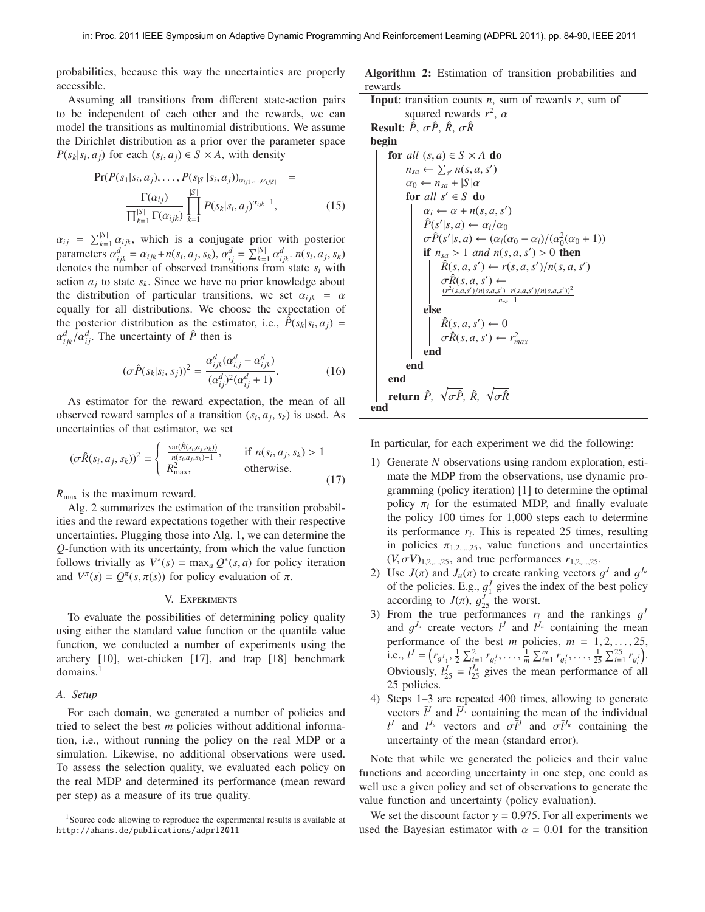probabilities, because this way the uncertainties are properly accessible.

Assuming all transitions from different state-action pairs to be independent of each other and the rewards, we can model the transitions as multinomial distributions. We assume the Dirichlet distribution as a prior over the parameter space  $P(s_k|s_i, a_j)$  for each  $(s_i, a_j) \in S \times A$ , with density

$$
Pr(P(s_1|s_i, a_j), \dots, P(s_{|S|}|s_i, a_j))_{\alpha_{ij1}, \dots, \alpha_{i|S|}} = \frac{\Gamma(\alpha_{ij})}{\prod_{k=1}^{|S|} \Gamma(\alpha_{ijk})} \prod_{k=1}^{|S|} P(s_k|s_i, a_j)^{\alpha_{ijk}-1},
$$
(15)

 $\alpha_{ij} = \sum_{k=1}^{|S|} \alpha_{ijk}$ , which is a conjugate prior with posterior parameters  $\alpha_{ijk}^d = \alpha_{ijk} + n(s_i, a_j, s_k)$ ,  $\alpha_{ij}^d = \sum_{k=1}^{|S|} \alpha_{ijk}^d$ .  $n(s_i, a_j, s_k)$ <br>denotes the number of observed transitions from state  $s_i$  with action  $a_i$  to state  $s_k$ . Since we have no prior knowledge about the distribution of particular transitions, we set  $\alpha_{ijk} = \alpha$ equally for all distributions. We choose the expectation of the posterior distribution as the estimator, i.e.,  $\hat{P}(s_k|s_i, a_i)$  =  $\alpha_{ijk}^d / \alpha_{ij}^d$ . The uncertainty of  $\hat{P}$  then is

$$
(\sigma \hat{P}(s_k|s_i, s_j))^2 = \frac{\alpha_{ijk}^d (\alpha_{i,j}^d - \alpha_{ijk}^d)}{(\alpha_{ij}^d)^2 (\alpha_{ij}^d + 1)}.
$$
 (16)

As estimator for the reward expectation, the mean of all observed reward samples of a transition  $(s_i, a_j, s_k)$  is used. As uncertainties of that estimator, we set

$$
(\sigma \hat{R}(s_i, a_j, s_k))^2 = \begin{cases} \frac{\text{var}(\hat{R}(s_i, a_j, s_k))}{n(s_i, a_j, s_k) - 1}, & \text{if } n(s_i, a_j, s_k) > 1\\ R_{\text{max}}^2, & \text{otherwise.} \end{cases}
$$
(17)

*R*max is the maximum reward.

Alg. 2 summarizes the estimation of the transition probabilities and the reward expectations together with their respective uncertainties. Plugging those into Alg. 1, we can determine the *Q*-function with its uncertainty, from which the value function follows trivially as  $V^*(s) = \max_a Q^*(s, a)$  for policy iteration and  $V^{\pi}(s) = Q^{\pi}(s, \pi(s))$  for policy evaluation of  $\pi$ .

#### V. Experiments

To evaluate the possibilities of determining policy quality using either the standard value function or the quantile value function, we conducted a number of experiments using the archery [10], wet-chicken [17], and trap [18] benchmark domains.1

# *A. Setup*

For each domain, we generated a number of policies and tried to select the best *m* policies without additional information, i.e., without running the policy on the real MDP or a simulation. Likewise, no additional observations were used. To assess the selection quality, we evaluated each policy on the real MDP and determined its performance (mean reward per step) as a measure of its true quality.

<sup>1</sup>Source code allowing to reproduce the experimental results is available at http://ahans.de/publications/adprl2011

Algorithm 2: Estimation of transition probabilities and rewards

```
Input: transition counts n, sum of rewards r, sum of
                   squared rewards r^2, \alphaResult: \hat{P}, \sigma \hat{P}, \hat{R}, \sigma \hat{R}begin
          for all (s, a) \in S \times A do
                    n_{sa} \leftarrow \sum_{s'} n(s, a, s')<br>
\alpha_s \leftarrow n_{s'} + |\mathcal{S}|\alpha\alpha_0 \leftarrow n_{sa} + |S|\alphafor all \ s' \in S do
                              \alpha_i \leftarrow \alpha + n(s, a, s')<br>
\hat{P}(s'|s, a) \leftarrow \alpha, l\alpha s\hat{P}(s'|s, a) \leftarrow \alpha_i/\alpha_0<br>
\sigma \hat{P}(s'|s, a) \leftarrow (\alpha_0)\sigma \hat{P}(s'|s,a) \leftarrow (\alpha_i(\alpha_0 - \alpha_i)/(\alpha_0^2(\alpha_0 + 1)))<br>
if n > 1 and p(s, a, s') > 0 then
                              if n_{sa} > 1 and n(s, a, s') > 0 then<br>
\frac{\hat{p}(s, a, s')}{\hat{p}(s, a, s')} = r(s, a, s')/n(s, a, s')\hat{R}(s, a, s') \leftarrow r(s, a, s')/n(s, a, s')\sigma \hat{R}(s, a, s') \leftarrow\mathcal{F}(\mathcal{R}(s, a, s')) ← \frac{(r^2(s, a, s')/n(s, a, s') - r(s, a, s')/n(s, a, s'))^2}{n - 1}nsa−1
                             else
                                        \hat{R}(s, a, s') \leftarrow 0<br>
\sigma \hat{R}(s, a, s') \leftarrow 0\sigma \hat{R}(s, a, s') \leftarrow r_{max}^2end
                   end
          end
          return \hat{P}, \sqrt{\sigma \hat{P}}, \hat{R}, \sqrt{\sigma \hat{R}}end
```
In particular, for each experiment we did the following:

- 1) Generate *N* observations using random exploration, estimate the MDP from the observations, use dynamic programming (policy iteration) [1] to determine the optimal policy  $\pi_i$  for the estimated MDP, and finally evaluate the policy 100 times for 1,000 steps each to determine its performance  $r_i$ . This is repeated 25 times, resulting in policies  $\pi_{1,2,\dots,25}$ , value functions and uncertainties  $(V, \sigma V)_{1,2,...,25}$ , and true performances  $r_{1,2,...,25}$ .
- 2) Use  $J(\pi)$  and  $J_u(\pi)$  to create ranking vectors  $g^J$  and  $g^{J_u}$ of the policies. E.g.,  $g_1^J$  gives the index of the best policy<br>according to  $I(\pi)$ ,  $g_1^J$  the worst according to  $J(\pi)$ ,  $g_{25}^J$  the worst.<br>From the true performances r.
- 3) From the true performances  $r_i$  and the rankings  $g^J$ and  $g^{J_u}$  create vectors  $l^J$  and  $l^{J_u}$  containing the mean<br>performance of the best m policies  $m = 1, 2, \ldots, 25$ performance of the best *m* policies,  $m = 1, 2, \ldots, 25$ , i.e.,  $l^J = (r_{g'1}, \frac{1}{2} \sum_{i=1}^2 r_{g'_i}, \dots, \frac{1}{n} \sum_{i=1}^m r_{g'_i}, \dots, \frac{1}{25} \sum_{i=1}^{25} r_{g'_i}).$ <br>Christophe *II*  $l^J$  iiins the magnetic proposes of all Obviously,  $l_{25}^J = l_{25}^{J_u}$  gives the mean performance of all 25 policies.
- 4) Steps 1–3 are repeated 400 times, allowing to generate vectors  $\bar{l}^J$  and  $\bar{l}^{J_u}$  containing the mean of the individual *l*<sup>*J*</sup> and *l*<sup>*J<sub>u</sub>*</sup> vectors and  $\sigma \bar{l}$ <sup>*J<sub>u</sub>*</sup> containing the uncertainty of the mean (standard error) uncertainty of the mean (standard error).

Note that while we generated the policies and their value functions and according uncertainty in one step, one could as well use a given policy and set of observations to generate the value function and uncertainty (policy evaluation).

We set the discount factor  $\gamma = 0.975$ . For all experiments we used the Bayesian estimator with  $\alpha = 0.01$  for the transition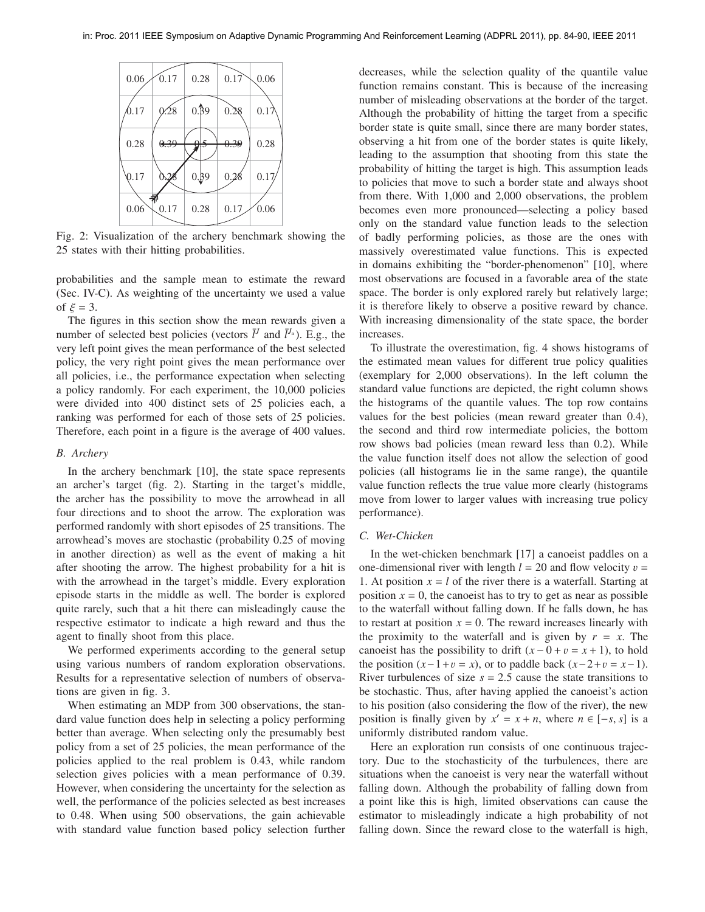

Fig. 2: Visualization of the archery benchmark showing the 25 states with their hitting probabilities.

probabilities and the sample mean to estimate the reward (Sec. IV-C). As weighting of the uncertainty we used a value of  $\mathcal{E} = 3$ .

The figures in this section show the mean rewards given a number of selected best policies (vectors  $\bar{l}^J$  and  $\bar{l}^{J_u}$ ). E.g., the very left point gives the mean performance of the best selected policy, the very right point gives the mean performance over all policies, i.e., the performance expectation when selecting a policy randomly. For each experiment, the 10,000 policies were divided into 400 distinct sets of 25 policies each, a ranking was performed for each of those sets of 25 policies. Therefore, each point in a figure is the average of 400 values.

## *B. Archery*

In the archery benchmark [10], the state space represents an archer's target (fig. 2). Starting in the target's middle, the archer has the possibility to move the arrowhead in all four directions and to shoot the arrow. The exploration was performed randomly with short episodes of 25 transitions. The arrowhead's moves are stochastic (probability 0.25 of moving in another direction) as well as the event of making a hit after shooting the arrow. The highest probability for a hit is with the arrowhead in the target's middle. Every exploration episode starts in the middle as well. The border is explored quite rarely, such that a hit there can misleadingly cause the respective estimator to indicate a high reward and thus the agent to finally shoot from this place.

We performed experiments according to the general setup using various numbers of random exploration observations. Results for a representative selection of numbers of observations are given in fig. 3.

When estimating an MDP from 300 observations, the standard value function does help in selecting a policy performing better than average. When selecting only the presumably best policy from a set of 25 policies, the mean performance of the policies applied to the real problem is 0.43, while random selection gives policies with a mean performance of 0.39. However, when considering the uncertainty for the selection as well, the performance of the policies selected as best increases to 0.48. When using 500 observations, the gain achievable with standard value function based policy selection further decreases, while the selection quality of the quantile value function remains constant. This is because of the increasing number of misleading observations at the border of the target. Although the probability of hitting the target from a specific border state is quite small, since there are many border states, observing a hit from one of the border states is quite likely, leading to the assumption that shooting from this state the probability of hitting the target is high. This assumption leads to policies that move to such a border state and always shoot from there. With 1,000 and 2,000 observations, the problem becomes even more pronounced—selecting a policy based only on the standard value function leads to the selection of badly performing policies, as those are the ones with massively overestimated value functions. This is expected in domains exhibiting the "border-phenomenon" [10], where most observations are focused in a favorable area of the state space. The border is only explored rarely but relatively large; it is therefore likely to observe a positive reward by chance. With increasing dimensionality of the state space, the border increases.

To illustrate the overestimation, fig. 4 shows histograms of the estimated mean values for different true policy qualities (exemplary for 2,000 observations). In the left column the standard value functions are depicted, the right column shows the histograms of the quantile values. The top row contains values for the best policies (mean reward greater than 0.4), the second and third row intermediate policies, the bottom row shows bad policies (mean reward less than 0.2). While the value function itself does not allow the selection of good policies (all histograms lie in the same range), the quantile value function reflects the true value more clearly (histograms move from lower to larger values with increasing true policy performance).

## *C. Wet-Chicken*

In the wet-chicken benchmark [17] a canoeist paddles on a one-dimensional river with length  $l = 20$  and flow velocity  $v =$ 1. At position  $x = l$  of the river there is a waterfall. Starting at position  $x = 0$ , the canoeist has to try to get as near as possible to the waterfall without falling down. If he falls down, he has to restart at position  $x = 0$ . The reward increases linearly with the proximity to the waterfall and is given by  $r = x$ . The canoeist has the possibility to drift  $(x - 0 + v = x + 1)$ , to hold the position  $(x-1+v=x)$ , or to paddle back  $(x-2+v=x-1)$ . River turbulences of size  $s = 2.5$  cause the state transitions to be stochastic. Thus, after having applied the canoeist's action to his position (also considering the flow of the river), the new position is finally given by  $x' = x + n$ , where  $n \in [-s, s]$  is a uniformly distributed random value.

Here an exploration run consists of one continuous trajectory. Due to the stochasticity of the turbulences, there are situations when the canoeist is very near the waterfall without falling down. Although the probability of falling down from a point like this is high, limited observations can cause the estimator to misleadingly indicate a high probability of not falling down. Since the reward close to the waterfall is high,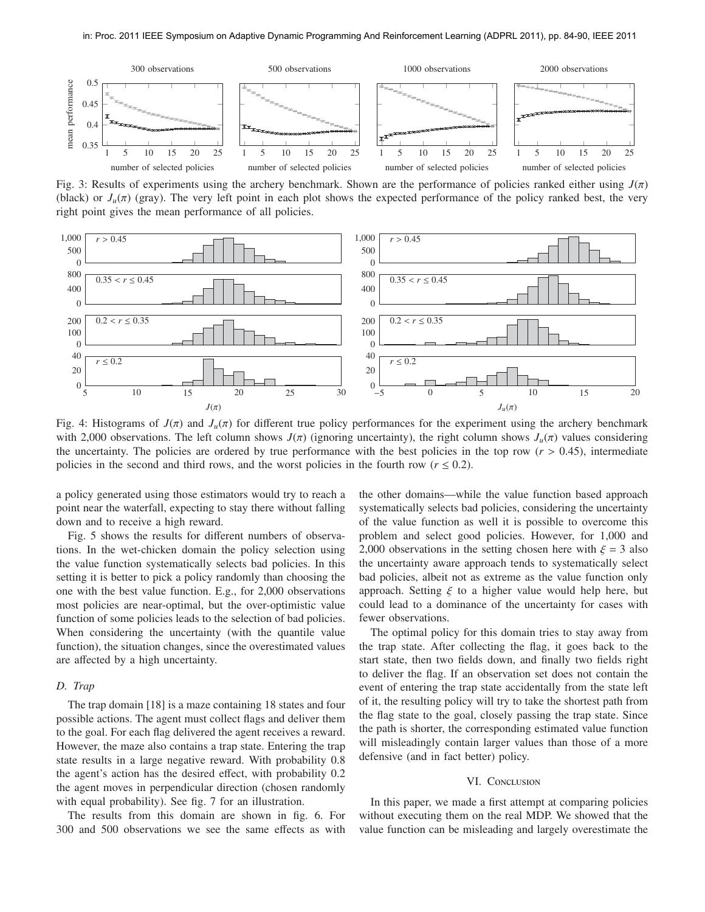

Fig. 3: Results of experiments using the archery benchmark. Shown are the performance of policies ranked either using  $J(\pi)$ (black) or  $J_u(\pi)$  (gray). The very left point in each plot shows the expected performance of the policy ranked best, the very right point gives the mean performance of all policies.



Fig. 4: Histograms of  $J(\pi)$  and  $J_u(\pi)$  for different true policy performances for the experiment using the archery benchmark with 2,000 observations. The left column shows  $J(\pi)$  (ignoring uncertainty), the right column shows  $J_u(\pi)$  values considering the uncertainty. The policies are ordered by true performance with the best policies in the top row  $(r > 0.45)$ , intermediate policies in the second and third rows, and the worst policies in the fourth row ( $r \leq 0.2$ ).

a policy generated using those estimators would try to reach a point near the waterfall, expecting to stay there without falling down and to receive a high reward.

Fig. 5 shows the results for different numbers of observations. In the wet-chicken domain the policy selection using the value function systematically selects bad policies. In this setting it is better to pick a policy randomly than choosing the one with the best value function. E.g., for 2,000 observations most policies are near-optimal, but the over-optimistic value function of some policies leads to the selection of bad policies. When considering the uncertainty (with the quantile value function), the situation changes, since the overestimated values are affected by a high uncertainty.

# *D. Trap*

The trap domain [18] is a maze containing 18 states and four possible actions. The agent must collect flags and deliver them to the goal. For each flag delivered the agent receives a reward. However, the maze also contains a trap state. Entering the trap state results in a large negative reward. With probability 0.<sup>8</sup> the agent's action has the desired effect, with probability 0.<sup>2</sup> the agent moves in perpendicular direction (chosen randomly with equal probability). See fig. 7 for an illustration.

The results from this domain are shown in fig. 6. For 300 and 500 observations we see the same effects as with

the other domains—while the value function based approach systematically selects bad policies, considering the uncertainty of the value function as well it is possible to overcome this problem and select good policies. However, for 1,000 and 2,000 observations in the setting chosen here with  $\xi = 3$  also the uncertainty aware approach tends to systematically select bad policies, albeit not as extreme as the value function only approach. Setting  $\xi$  to a higher value would help here, but could lead to a dominance of the uncertainty for cases with fewer observations.

The optimal policy for this domain tries to stay away from the trap state. After collecting the flag, it goes back to the start state, then two fields down, and finally two fields right to deliver the flag. If an observation set does not contain the event of entering the trap state accidentally from the state left of it, the resulting policy will try to take the shortest path from the flag state to the goal, closely passing the trap state. Since the path is shorter, the corresponding estimated value function will misleadingly contain larger values than those of a more defensive (and in fact better) policy.

## VI. CONCLUSION

In this paper, we made a first attempt at comparing policies without executing them on the real MDP. We showed that the value function can be misleading and largely overestimate the